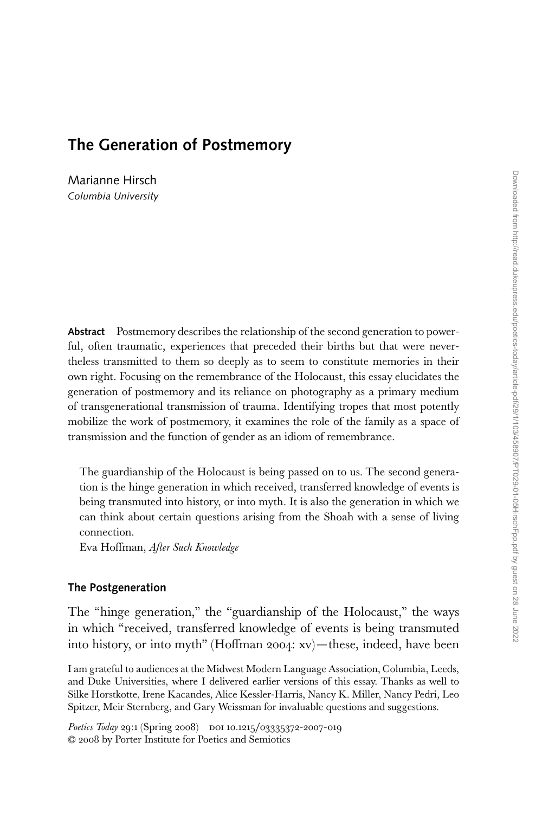# **The Generation of Postmemory**

Marianne Hirsch *Columbia University*

**Abstract** Postmemory describes the relationship of the second generation to powerful, often traumatic, experiences that preceded their births but that were nevertheless transmitted to them so deeply as to seem to constitute memories in their own right. Focusing on the remembrance of the Holocaust, this essay elucidates the generation of postmemory and its reliance on photography as a primary medium of transgenerational transmission of trauma. Identifying tropes that most potently mobilize the work of postmemory, it examines the role of the family as a space of transmission and the function of gender as an idiom of remembrance.

The guardianship of the Holocaust is being passed on to us. The second generation is the hinge generation in which received, transferred knowledge of events is being transmuted into history, or into myth. It is also the generation in which we can think about certain questions arising from the Shoah with a sense of living connection.

Eva Hoffman, *After Such Knowledge*

# **The Postgeneration**

The "hinge generation," the "guardianship of the Holocaust," the ways in which "received, transferred knowledge of events is being transmuted into history, or into myth" (Hoffman 2004: xv)—these, indeed, have been

I am grateful to audiences at the Midwest Modern Language Association, Columbia, Leeds, and Duke Universities, where I delivered earlier versions of this essay. Thanks as well to Silke Horstkotte, Irene Kacandes, Alice Kessler-Harris, Nancy K. Miller, Nancy Pedri, Leo Spitzer, Meir Sternberg, and Gary Weissman for invaluable questions and suggestions.

Poetics Today 29:1 (Spring 2008) DOI 10.1215/03335372-2007-019 © 2008 by Porter Institute for Poetics and Semiotics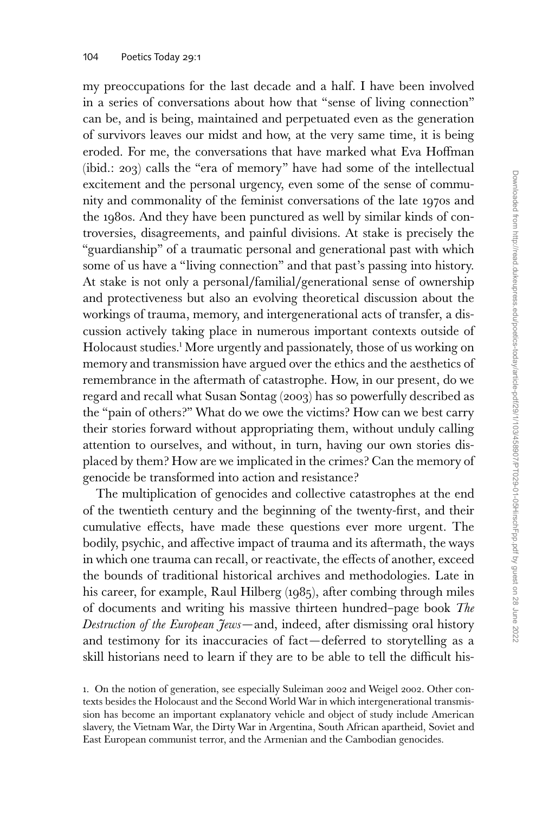my preoccupations for the last decade and a half. I have been involved in a series of conversations about how that "sense of living connection" can be, and is being, maintained and perpetuated even as the generation of survivors leaves our midst and how, at the very same time, it is being eroded. For me, the conversations that have marked what Eva Hoffman (ibid.: 203) calls the "era of memory" have had some of the intellectual excitement and the personal urgency, even some of the sense of community and commonality of the feminist conversations of the late 1970s and the 1980s. And they have been punctured as well by similar kinds of controversies, disagreements, and painful divisions. At stake is precisely the "guardianship" of a traumatic personal and generational past with which some of us have a "living connection" and that past's passing into history. At stake is not only a personal/familial/generational sense of ownership and protectiveness but also an evolving theoretical discussion about the workings of trauma, memory, and intergenerational acts of transfer, a discussion actively taking place in numerous important contexts outside of Holocaust studies.<sup>1</sup> More urgently and passionately, those of us working on memory and transmission have argued over the ethics and the aesthetics of remembrance in the aftermath of catastrophe. How, in our present, do we regard and recall what Susan Sontag (2003) has so powerfully described as the "pain of others?" What do we owe the victims? How can we best carry their stories forward without appropriating them, without unduly calling attention to ourselves, and without, in turn, having our own stories displaced by them? How are we implicated in the crimes? Can the memory of genocide be transformed into action and resistance?

The multiplication of genocides and collective catastrophes at the end of the twentieth century and the beginning of the twenty-first, and their cumulative effects, have made these questions ever more urgent. The bodily, psychic, and affective impact of trauma and its aftermath, the ways in which one trauma can recall, or reactivate, the effects of another, exceed the bounds of traditional historical archives and methodologies. Late in his career, for example, Raul Hilberg (1985), after combing through miles of documents and writing his massive thirteen hundred–page book *The Destruction of the European Jews*—and, indeed, after dismissing oral history and testimony for its inaccuracies of fact—deferred to storytelling as a skill historians need to learn if they are to be able to tell the difficult his-

<sup>.</sup> On the notion of generation, see especially Suleiman 2002 and Weigel 2002. Other contexts besides the Holocaust and the Second World War in which intergenerational transmission has become an important explanatory vehicle and object of study include American slavery, the Vietnam War, the Dirty War in Argentina, South African apartheid, Soviet and East European communist terror, and the Armenian and the Cambodian genocides.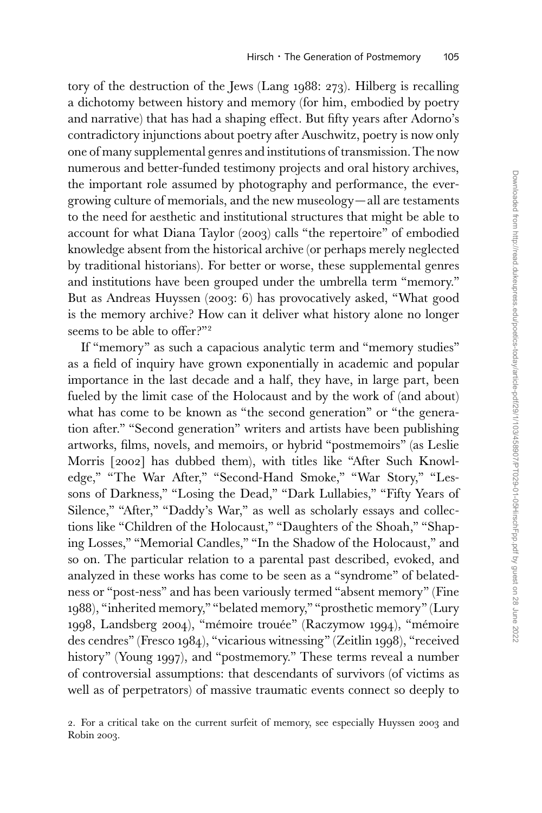tory of the destruction of the Jews (Lang 1988: 273). Hilberg is recalling a dichotomy between history and memory (for him, embodied by poetry and narrative) that has had a shaping effect. But fifty years after Adorno's contradictory injunctions about poetry after Auschwitz, poetry is now only one of many supplemental genres and institutions of transmission. The now numerous and better-funded testimony projects and oral history archives, the important role assumed by photography and performance, the evergrowing culture of memorials, and the new museology—all are testaments to the need for aesthetic and institutional structures that might be able to account for what Diana Taylor (2003) calls "the repertoire" of embodied knowledge absent from the historical archive (or perhaps merely neglected by traditional historians). For better or worse, these supplemental genres and institutions have been grouped under the umbrella term "memory." But as Andreas Huyssen (2003: 6) has provocatively asked, "What good is the memory archive? How can it deliver what history alone no longer seems to be able to offer?"<sup>2</sup>

If "memory" as such a capacious analytic term and "memory studies" as a field of inquiry have grown exponentially in academic and popular importance in the last decade and a half, they have, in large part, been fueled by the limit case of the Holocaust and by the work of (and about) what has come to be known as "the second generation" or "the generation after." "Second generation" writers and artists have been publishing artworks, films, novels, and memoirs, or hybrid "postmemoirs" (as Leslie Morris [2002] has dubbed them), with titles like "After Such Knowledge," "The War After," "Second-Hand Smoke," "War Story," "Lessons of Darkness," "Losing the Dead," "Dark Lullabies," "Fifty Years of Silence," "After," "Daddy's War," as well as scholarly essays and collections like "Children of the Holocaust," "Daughters of the Shoah," "Shaping Losses," "Memorial Candles," "In the Shadow of the Holocaust," and so on. The particular relation to a parental past described, evoked, and analyzed in these works has come to be seen as a "syndrome" of belatedness or "post-ness" and has been variously termed "absent memory" (Fine 1988), "inherited memory," "belated memory," "prosthetic memory" (Lury 1998, Landsberg 2004), "mémoire trouée" (Raczymow 1994), "mémoire des cendres" (Fresco 1984), "vicarious witnessing" (Zeitlin 1998), "received history" (Young 1997), and "postmemory." These terms reveal a number of controversial assumptions: that descendants of survivors (of victims as well as of perpetrators) of massive traumatic events connect so deeply to

<sup>.</sup> For a critical take on the current surfeit of memory, see especially Huyssen 2003 and Robin 2003.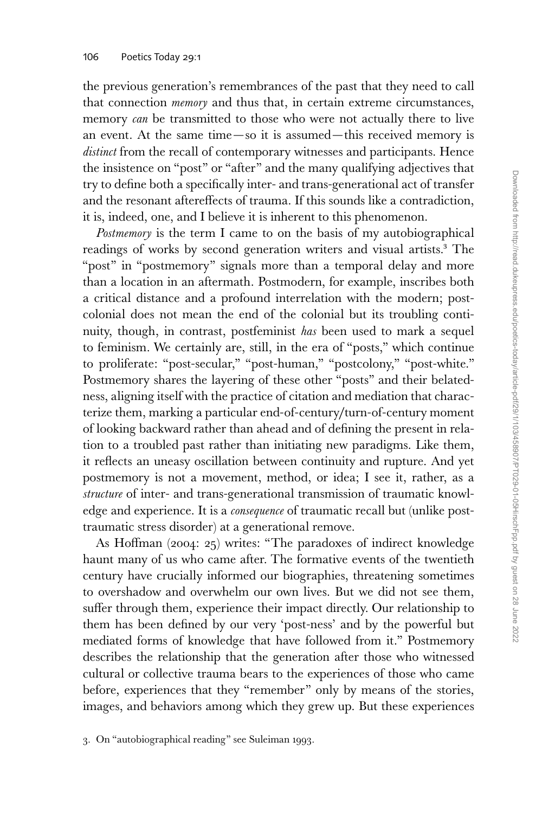the previous generation's remembrances of the past that they need to call that connection *memory* and thus that, in certain extreme circumstances, memory *can* be transmitted to those who were not actually there to live an event. At the same time—so it is assumed—this received memory is *distinct* from the recall of contemporary witnesses and participants. Hence the insistence on "post" or "after" and the many qualifying adjectives that try to define both a specifically inter- and trans-generational act of transfer and the resonant aftereffects of trauma. If this sounds like a contradiction, it is, indeed, one, and I believe it is inherent to this phenomenon.

*Postmemory* is the term I came to on the basis of my autobiographical readings of works by second generation writers and visual artists.<sup>3</sup> The "post" in "postmemory" signals more than a temporal delay and more than a location in an aftermath. Postmodern, for example, inscribes both a critical distance and a profound interrelation with the modern; postcolonial does not mean the end of the colonial but its troubling continuity, though, in contrast, postfeminist *has* been used to mark a sequel to feminism. We certainly are, still, in the era of "posts," which continue to proliferate: "post-secular," "post-human," "postcolony," "post-white." Postmemory shares the layering of these other "posts" and their belatedness, aligning itself with the practice of citation and mediation that characterize them, marking a particular end-of-century/turn-of-century moment of looking backward rather than ahead and of defining the present in relation to a troubled past rather than initiating new paradigms. Like them, it reflects an uneasy oscillation between continuity and rupture. And yet postmemory is not a movement, method, or idea; I see it, rather, as a *structure* of inter- and trans-generational transmission of traumatic knowledge and experience. It is a *consequence* of traumatic recall but (unlike posttraumatic stress disorder) at a generational remove.

As Hoffman (2004: 25) writes: "The paradoxes of indirect knowledge haunt many of us who came after. The formative events of the twentieth century have crucially informed our biographies, threatening sometimes to overshadow and overwhelm our own lives. But we did not see them, suffer through them, experience their impact directly. Our relationship to them has been defined by our very 'post-ness' and by the powerful but mediated forms of knowledge that have followed from it." Postmemory describes the relationship that the generation after those who witnessed cultural or collective trauma bears to the experiences of those who came before, experiences that they "remember" only by means of the stories, images, and behaviors among which they grew up. But these experiences

<sup>.</sup> On "autobiographical reading" see Suleiman 1993.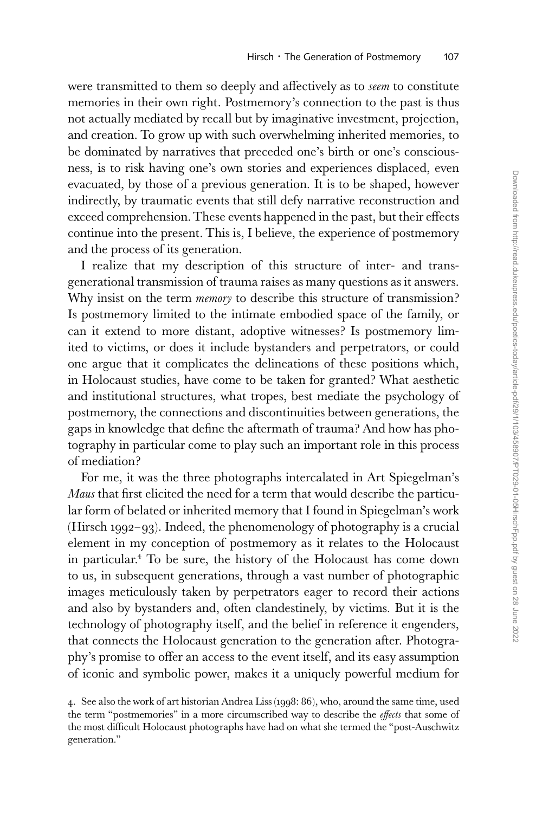were transmitted to them so deeply and affectively as to *seem* to constitute memories in their own right. Postmemory's connection to the past is thus not actually mediated by recall but by imaginative investment, projection, and creation. To grow up with such overwhelming inherited memories, to be dominated by narratives that preceded one's birth or one's consciousness, is to risk having one's own stories and experiences displaced, even evacuated, by those of a previous generation. It is to be shaped, however indirectly, by traumatic events that still defy narrative reconstruction and exceed comprehension. These events happened in the past, but their effects continue into the present. This is, I believe, the experience of postmemory and the process of its generation.

I realize that my description of this structure of inter- and transgenerational transmission of trauma raises as many questions as it answers. Why insist on the term *memory* to describe this structure of transmission? Is postmemory limited to the intimate embodied space of the family, or can it extend to more distant, adoptive witnesses? Is postmemory limited to victims, or does it include bystanders and perpetrators, or could one argue that it complicates the delineations of these positions which, in Holocaust studies, have come to be taken for granted? What aesthetic and institutional structures, what tropes, best mediate the psychology of postmemory, the connections and discontinuities between generations, the gaps in knowledge that define the aftermath of trauma? And how has photography in particular come to play such an important role in this process of mediation?

For me, it was the three photographs intercalated in Art Spiegelman's *Maus* that first elicited the need for a term that would describe the particular form of belated or inherited memory that I found in Spiegelman's work (Hirsch 1992–93). Indeed, the phenomenology of photography is a crucial element in my conception of postmemory as it relates to the Holocaust in particular.<sup>4</sup> To be sure, the history of the Holocaust has come down to us, in subsequent generations, through a vast number of photographic images meticulously taken by perpetrators eager to record their actions and also by bystanders and, often clandestinely, by victims. But it is the technology of photography itself, and the belief in reference it engenders, that connects the Holocaust generation to the generation after. Photography's promise to offer an access to the event itself, and its easy assumption of iconic and symbolic power, makes it a uniquely powerful medium for

<sup>.</sup> See also the work of art historian Andrea Liss (1998: 86), who, around the same time, used the term "postmemories" in a more circumscribed way to describe the *effects* that some of the most difficult Holocaust photographs have had on what she termed the "post-Auschwitz generation."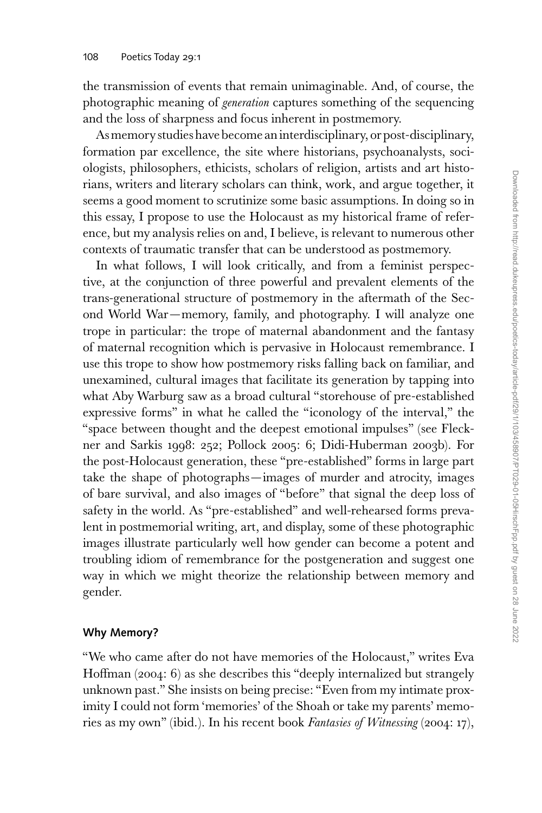the transmission of events that remain unimaginable. And, of course, the photographic meaning of *generation* captures something of the sequencing and the loss of sharpness and focus inherent in postmemory.

As memory studies have become an interdisciplinary, or post-disciplinary, formation par excellence, the site where historians, psychoanalysts, sociologists, philosophers, ethicists, scholars of religion, artists and art historians, writers and literary scholars can think, work, and argue together, it seems a good moment to scrutinize some basic assumptions. In doing so in this essay, I propose to use the Holocaust as my historical frame of reference, but my analysis relies on and, I believe, is relevant to numerous other contexts of traumatic transfer that can be understood as postmemory.

In what follows, I will look critically, and from a feminist perspective, at the conjunction of three powerful and prevalent elements of the trans-generational structure of postmemory in the aftermath of the Second World War—memory, family, and photography. I will analyze one trope in particular: the trope of maternal abandonment and the fantasy of maternal recognition which is pervasive in Holocaust remembrance. I use this trope to show how postmemory risks falling back on familiar, and unexamined, cultural images that facilitate its generation by tapping into what Aby Warburg saw as a broad cultural "storehouse of pre-established expressive forms" in what he called the "iconology of the interval," the "space between thought and the deepest emotional impulses" (see Fleckner and Sarkis 1998: 252; Pollock 2005: 6; Didi-Huberman 2003b). For the post-Holocaust generation, these "pre-established" forms in large part take the shape of photographs—images of murder and atrocity, images of bare survival, and also images of "before" that signal the deep loss of safety in the world. As "pre-established" and well-rehearsed forms prevalent in postmemorial writing, art, and display, some of these photographic images illustrate particularly well how gender can become a potent and troubling idiom of remembrance for the postgeneration and suggest one way in which we might theorize the relationship between memory and gender.

# **Why Memory?**

"We who came after do not have memories of the Holocaust," writes Eva Hoffman (2004: 6) as she describes this "deeply internalized but strangely unknown past." She insists on being precise: "Even from my intimate proximity I could not form 'memories' of the Shoah or take my parents' memories as my own" (ibid.). In his recent book *Fantasies of Witnessing* (2004: 17),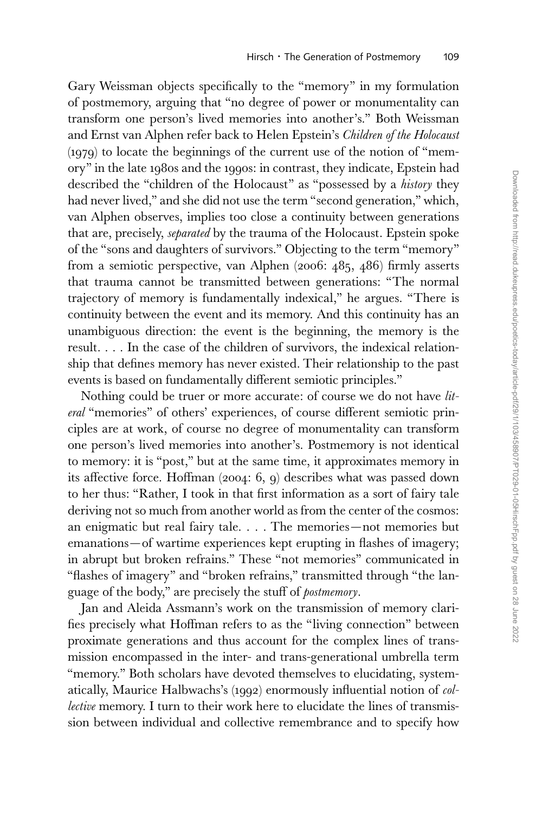Gary Weissman objects specifically to the "memory" in my formulation of postmemory, arguing that "no degree of power or monumentality can transform one person's lived memories into another's." Both Weissman and Ernst van Alphen refer back to Helen Epstein's *Children of the Holocaust* (1979) to locate the beginnings of the current use of the notion of "memory" in the late 1980s and the 1990s: in contrast, they indicate, Epstein had described the "children of the Holocaust" as "possessed by a *history* they had never lived," and she did not use the term "second generation," which, van Alphen observes, implies too close a continuity between generations that are, precisely, *separated* by the trauma of the Holocaust. Epstein spoke of the "sons and daughters of survivors." Objecting to the term "memory" from a semiotic perspective, van Alphen (2006: 485, 486) firmly asserts that trauma cannot be transmitted between generations: "The normal trajectory of memory is fundamentally indexical," he argues. "There is continuity between the event and its memory. And this continuity has an unambiguous direction: the event is the beginning, the memory is the result. . . . In the case of the children of survivors, the indexical relationship that defines memory has never existed. Their relationship to the past events is based on fundamentally different semiotic principles."

Nothing could be truer or more accurate: of course we do not have *literal* "memories" of others' experiences, of course different semiotic principles are at work, of course no degree of monumentality can transform one person's lived memories into another's. Postmemory is not identical to memory: it is "post," but at the same time, it approximates memory in its affective force. Hoffman (2004: 6, 9) describes what was passed down to her thus: "Rather, I took in that first information as a sort of fairy tale deriving not so much from another world as from the center of the cosmos: an enigmatic but real fairy tale. . . . The memories—not memories but emanations—of wartime experiences kept erupting in flashes of imagery; in abrupt but broken refrains." These "not memories" communicated in "flashes of imagery" and "broken refrains," transmitted through "the language of the body," are precisely the stuff of *postmemory*.

Jan and Aleida Assmann's work on the transmission of memory clarifies precisely what Hoffman refers to as the "living connection" between proximate generations and thus account for the complex lines of transmission encompassed in the inter- and trans-generational umbrella term "memory." Both scholars have devoted themselves to elucidating, systematically, Maurice Halbwachs's (1992) enormously influential notion of *collective* memory. I turn to their work here to elucidate the lines of transmission between individual and collective remembrance and to specify how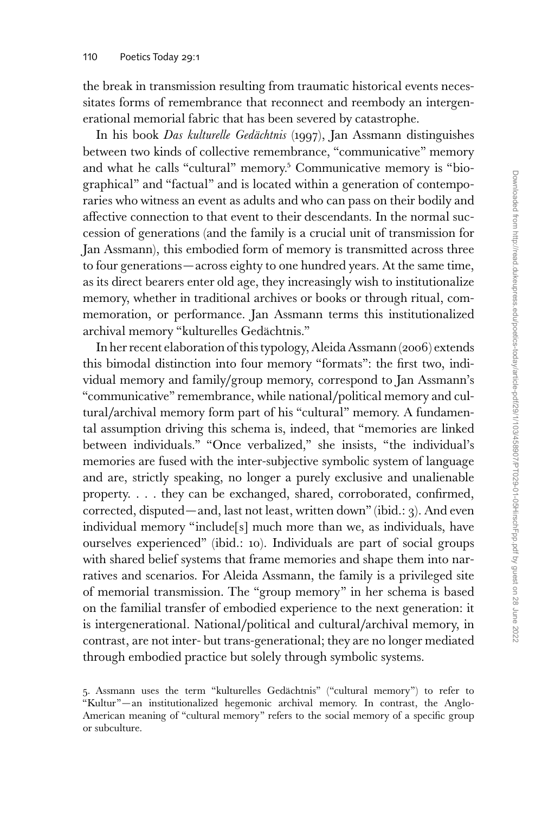the break in transmission resulting from traumatic historical events necessitates forms of remembrance that reconnect and reembody an intergenerational memorial fabric that has been severed by catastrophe.

In his book *Das kulturelle Gedächtnis* (1997), Jan Assmann distinguishes between two kinds of collective remembrance, "communicative" memory and what he calls "cultural" memory.<sup>5</sup> Communicative memory is "biographical" and "factual" and is located within a generation of contemporaries who witness an event as adults and who can pass on their bodily and affective connection to that event to their descendants. In the normal succession of generations (and the family is a crucial unit of transmission for Jan Assmann), this embodied form of memory is transmitted across three to four generations—across eighty to one hundred years. At the same time, as its direct bearers enter old age, they increasingly wish to institutionalize memory, whether in traditional archives or books or through ritual, commemoration, or performance. Jan Assmann terms this institutionalized archival memory "kulturelles Gedächtnis."

In her recent elaboration of this typology, Aleida Assmann (2006) extends this bimodal distinction into four memory "formats": the first two, individual memory and family/group memory, correspond to Jan Assmann's "communicative" remembrance, while national/political memory and cultural/archival memory form part of his "cultural" memory. A fundamental assumption driving this schema is, indeed, that "memories are linked between individuals." "Once verbalized," she insists, "the individual's memories are fused with the inter-subjective symbolic system of language and are, strictly speaking, no longer a purely exclusive and unalienable property. . . . they can be exchanged, shared, corroborated, confirmed, corrected, disputed—and, last not least, written down" (ibid.: 3). And even individual memory "include[s] much more than we, as individuals, have ourselves experienced" (ibid.: 10). Individuals are part of social groups with shared belief systems that frame memories and shape them into narratives and scenarios. For Aleida Assmann, the family is a privileged site of memorial transmission. The "group memory" in her schema is based on the familial transfer of embodied experience to the next generation: it is intergenerational. National/political and cultural/archival memory, in contrast, are not inter- but trans-generational; they are no longer mediated through embodied practice but solely through symbolic systems.

<sup>.</sup> Assmann uses the term "kulturelles Gedächtnis" ("cultural memory") to refer to "Kultur"—an institutionalized hegemonic archival memory. In contrast, the Anglo-American meaning of "cultural memory" refers to the social memory of a specific group or subculture.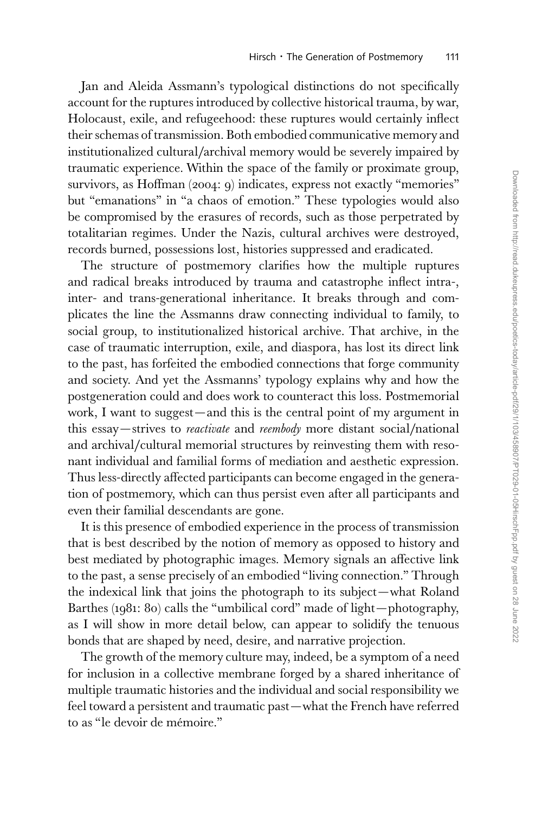Jan and Aleida Assmann's typological distinctions do not specifically account for the ruptures introduced by collective historical trauma, by war, Holocaust, exile, and refugeehood: these ruptures would certainly inflect their schemas of transmission. Both embodied communicative memory and institutionalized cultural/archival memory would be severely impaired by traumatic experience. Within the space of the family or proximate group, survivors, as Hoffman (2004: 9) indicates, express not exactly "memories" but "emanations" in "a chaos of emotion." These typologies would also be compromised by the erasures of records, such as those perpetrated by totalitarian regimes. Under the Nazis, cultural archives were destroyed, records burned, possessions lost, histories suppressed and eradicated.

The structure of postmemory clarifies how the multiple ruptures and radical breaks introduced by trauma and catastrophe inflect intra-, inter- and trans-generational inheritance. It breaks through and complicates the line the Assmanns draw connecting individual to family, to social group, to institutionalized historical archive. That archive, in the case of traumatic interruption, exile, and diaspora, has lost its direct link to the past, has forfeited the embodied connections that forge community and society. And yet the Assmanns' typology explains why and how the postgeneration could and does work to counteract this loss. Postmemorial work, I want to suggest—and this is the central point of my argument in this essay—strives to *reactivate* and *reembody* more distant social/national and archival/cultural memorial structures by reinvesting them with resonant individual and familial forms of mediation and aesthetic expression. Thus less-directly affected participants can become engaged in the generation of postmemory, which can thus persist even after all participants and even their familial descendants are gone.

It is this presence of embodied experience in the process of transmission that is best described by the notion of memory as opposed to history and best mediated by photographic images. Memory signals an affective link to the past, a sense precisely of an embodied "living connection." Through the indexical link that joins the photograph to its subject—what Roland Barthes (1981: 80) calls the "umbilical cord" made of light—photography, as I will show in more detail below, can appear to solidify the tenuous bonds that are shaped by need, desire, and narrative projection.

The growth of the memory culture may, indeed, be a symptom of a need for inclusion in a collective membrane forged by a shared inheritance of multiple traumatic histories and the individual and social responsibility we feel toward a persistent and traumatic past—what the French have referred to as "le devoir de mémoire."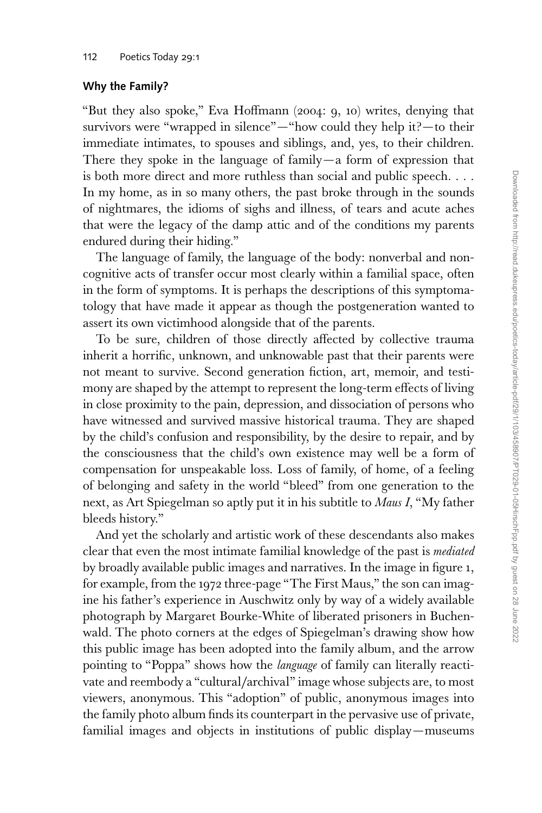#### **Why the Family?**

"But they also spoke," Eva Hoffmann (2004: 9, 10) writes, denying that survivors were "wrapped in silence"—"how could they help it?—to their immediate intimates, to spouses and siblings, and, yes, to their children. There they spoke in the language of family—a form of expression that is both more direct and more ruthless than social and public speech. . . . In my home, as in so many others, the past broke through in the sounds of nightmares, the idioms of sighs and illness, of tears and acute aches that were the legacy of the damp attic and of the conditions my parents endured during their hiding."

The language of family, the language of the body: nonverbal and noncognitive acts of transfer occur most clearly within a familial space, often in the form of symptoms. It is perhaps the descriptions of this symptomatology that have made it appear as though the postgeneration wanted to assert its own victimhood alongside that of the parents.

To be sure, children of those directly affected by collective trauma inherit a horrific, unknown, and unknowable past that their parents were not meant to survive. Second generation fiction, art, memoir, and testimony are shaped by the attempt to represent the long-term effects of living in close proximity to the pain, depression, and dissociation of persons who have witnessed and survived massive historical trauma. They are shaped by the child's confusion and responsibility, by the desire to repair, and by the consciousness that the child's own existence may well be a form of compensation for unspeakable loss. Loss of family, of home, of a feeling of belonging and safety in the world "bleed" from one generation to the next, as Art Spiegelman so aptly put it in his subtitle to *Maus I*, "My father bleeds history."

And yet the scholarly and artistic work of these descendants also makes clear that even the most intimate familial knowledge of the past is *mediated* by broadly available public images and narratives. In the image in figure 1, for example, from the 1972 three-page "The First Maus," the son can imagine his father's experience in Auschwitz only by way of a widely available photograph by Margaret Bourke-White of liberated prisoners in Buchenwald. The photo corners at the edges of Spiegelman's drawing show how this public image has been adopted into the family album, and the arrow pointing to "Poppa" shows how the *language* of family can literally reactivate and reembody a "cultural/archival" image whose subjects are, to most viewers, anonymous. This "adoption" of public, anonymous images into the family photo album finds its counterpart in the pervasive use of private, familial images and objects in institutions of public display—museums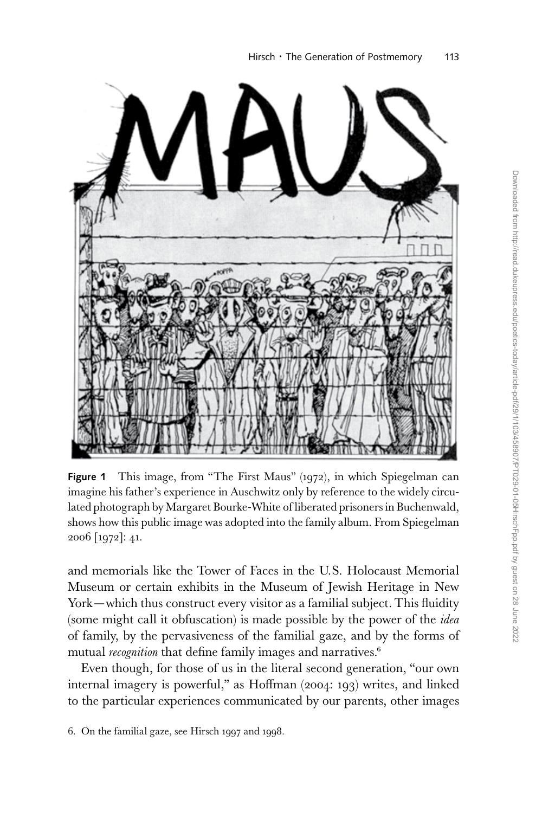

**Figure 1** This image, from "The First Maus" (1972), in which Spiegelman can imagine his father's experience in Auschwitz only by reference to the widely circulated photograph by Margaret Bourke-White of liberated prisoners in Buchenwald, shows how this public image was adopted into the family album. From Spiegelman 2006 [1972]: 41.

and memorials like the Tower of Faces in the U.S. Holocaust Memorial Museum or certain exhibits in the Museum of Jewish Heritage in New York—which thus construct every visitor as a familial subject. This fluidity (some might call it obfuscation) is made possible by the power of the *idea* of family, by the pervasiveness of the familial gaze, and by the forms of mutual *recognition* that define family images and narratives.

Even though, for those of us in the literal second generation, "our own internal imagery is powerful," as Hoffman (2004: 193) writes, and linked to the particular experiences communicated by our parents, other images

. On the familial gaze, see Hirsch 1997 and 1998.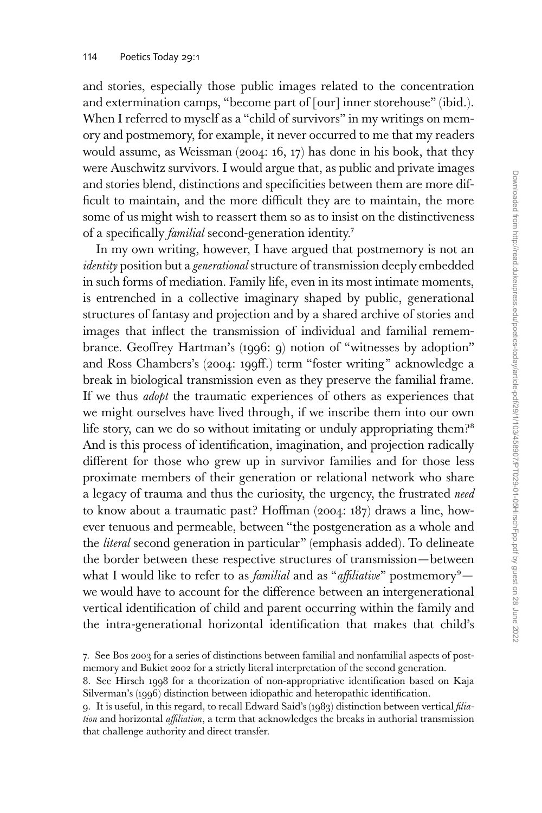and stories, especially those public images related to the concentration and extermination camps, "become part of [our] inner storehouse" (ibid.). When I referred to myself as a "child of survivors" in my writings on memory and postmemory, for example, it never occurred to me that my readers would assume, as Weissman (2004: 16, 17) has done in his book, that they were Auschwitz survivors. I would argue that, as public and private images and stories blend, distinctions and specificities between them are more difficult to maintain, and the more difficult they are to maintain, the more some of us might wish to reassert them so as to insist on the distinctiveness of a specifically *familial* second-generation identity.

In my own writing, however, I have argued that postmemory is not an *identity* position but a *generational* structure of transmission deeply embedded in such forms of mediation. Family life, even in its most intimate moments, is entrenched in a collective imaginary shaped by public, generational structures of fantasy and projection and by a shared archive of stories and images that inflect the transmission of individual and familial remembrance. Geoffrey Hartman's (1996: 9) notion of "witnesses by adoption" and Ross Chambers's (2004: 199ff.) term "foster writing" acknowledge a break in biological transmission even as they preserve the familial frame. If we thus *adopt* the traumatic experiences of others as experiences that we might ourselves have lived through, if we inscribe them into our own life story, can we do so without imitating or unduly appropriating them?<sup>8</sup> And is this process of identification, imagination, and projection radically different for those who grew up in survivor families and for those less proximate members of their generation or relational network who share a legacy of trauma and thus the curiosity, the urgency, the frustrated *need* to know about a traumatic past? Hoffman (2004: 187) draws a line, however tenuous and permeable, between "the postgeneration as a whole and the *literal* second generation in particular" (emphasis added). To delineate the border between these respective structures of transmission—between what I would like to refer to as *familial* and as "*affiliative*" postmemory<sup>9</sup>we would have to account for the difference between an intergenerational vertical identification of child and parent occurring within the family and the intra-generational horizontal identification that makes that child's

<sup>.</sup> See Bos 2003 for a series of distinctions between familial and nonfamilial aspects of postmemory and Bukiet 2002 for a strictly literal interpretation of the second generation.

<sup>.</sup> See Hirsch 1998 for a theorization of non-appropriative identification based on Kaja Silverman's (1996) distinction between idiopathic and heteropathic identification.

<sup>.</sup> It is useful, in this regard, to recall Edward Said's (1983) distinction between vertical *filiation* and horizontal *affiliation*, a term that acknowledges the breaks in authorial transmission that challenge authority and direct transfer.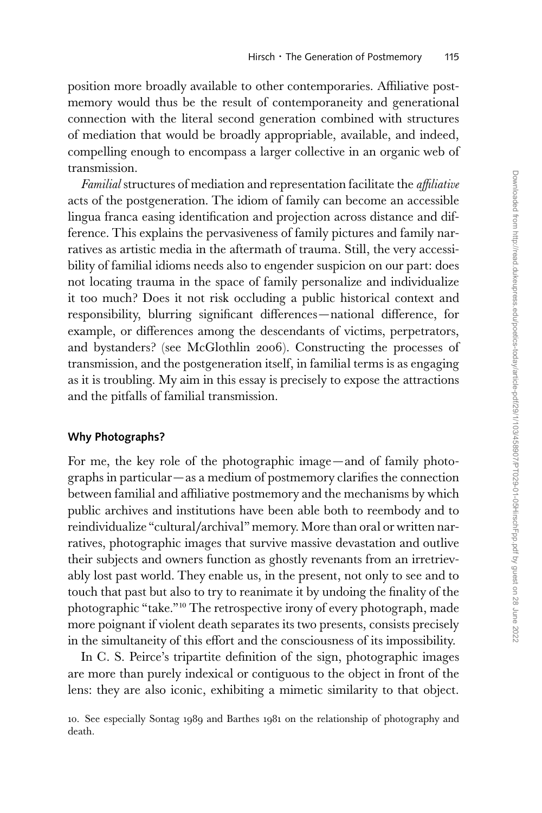position more broadly available to other contemporaries. Affiliative postmemory would thus be the result of contemporaneity and generational connection with the literal second generation combined with structures of mediation that would be broadly appropriable, available, and indeed, compelling enough to encompass a larger collective in an organic web of transmission.

*Familial* structures of mediation and representation facilitate the *affiliative* acts of the postgeneration. The idiom of family can become an accessible lingua franca easing identification and projection across distance and difference. This explains the pervasiveness of family pictures and family narratives as artistic media in the aftermath of trauma. Still, the very accessibility of familial idioms needs also to engender suspicion on our part: does not locating trauma in the space of family personalize and individualize it too much? Does it not risk occluding a public historical context and responsibility, blurring significant differences—national difference, for example, or differences among the descendants of victims, perpetrators, and bystanders? (see McGlothlin 2006). Constructing the processes of transmission, and the postgeneration itself, in familial terms is as engaging as it is troubling. My aim in this essay is precisely to expose the attractions and the pitfalls of familial transmission.

# **Why Photographs?**

For me, the key role of the photographic image—and of family photographs in particular—as a medium of postmemory clarifies the connection between familial and affiliative postmemory and the mechanisms by which public archives and institutions have been able both to reembody and to reindividualize "cultural/archival" memory. More than oral or written narratives, photographic images that survive massive devastation and outlive their subjects and owners function as ghostly revenants from an irretrievably lost past world. They enable us, in the present, not only to see and to touch that past but also to try to reanimate it by undoing the finality of the photographic "take."10 The retrospective irony of every photograph, made more poignant if violent death separates its two presents, consists precisely in the simultaneity of this effort and the consciousness of its impossibility.

In C. S. Peirce's tripartite definition of the sign, photographic images are more than purely indexical or contiguous to the object in front of the lens: they are also iconic, exhibiting a mimetic similarity to that object.

10. See especially Sontag 1989 and Barthes 1981 on the relationship of photography and death.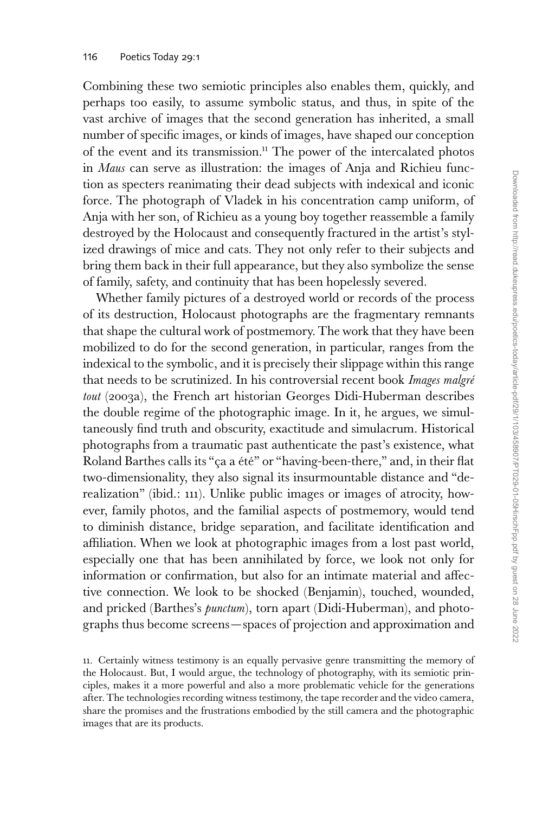Combining these two semiotic principles also enables them, quickly, and perhaps too easily, to assume symbolic status, and thus, in spite of the vast archive of images that the second generation has inherited, a small number of specific images, or kinds of images, have shaped our conception of the event and its transmission.11 The power of the intercalated photos in *Maus* can serve as illustration: the images of Anja and Richieu function as specters reanimating their dead subjects with indexical and iconic force. The photograph of Vladek in his concentration camp uniform, of Anja with her son, of Richieu as a young boy together reassemble a family destroyed by the Holocaust and consequently fractured in the artist's stylized drawings of mice and cats. They not only refer to their subjects and bring them back in their full appearance, but they also symbolize the sense of family, safety, and continuity that has been hopelessly severed.

Whether family pictures of a destroyed world or records of the process of its destruction, Holocaust photographs are the fragmentary remnants that shape the cultural work of postmemory. The work that they have been mobilized to do for the second generation, in particular, ranges from the indexical to the symbolic, and it is precisely their slippage within this range that needs to be scrutinized. In his controversial recent book *Images malgré tout* (2003a), the French art historian Georges Didi-Huberman describes the double regime of the photographic image. In it, he argues, we simultaneously find truth and obscurity, exactitude and simulacrum. Historical photographs from a traumatic past authenticate the past's existence, what Roland Barthes calls its "ça a été" or "having-been-there," and, in their flat two-dimensionality, they also signal its insurmountable distance and "derealization" (ibid.: 111). Unlike public images or images of atrocity, however, family photos, and the familial aspects of postmemory, would tend to diminish distance, bridge separation, and facilitate identification and affiliation. When we look at photographic images from a lost past world, especially one that has been annihilated by force, we look not only for information or confirmation, but also for an intimate material and affective connection. We look to be shocked (Benjamin), touched, wounded, and pricked (Barthes's *punctum*), torn apart (Didi-Huberman), and photographs thus become screens—spaces of projection and approximation and

<sup>11.</sup> Certainly witness testimony is an equally pervasive genre transmitting the memory of the Holocaust. But, I would argue, the technology of photography, with its semiotic principles, makes it a more powerful and also a more problematic vehicle for the generations after. The technologies recording witness testimony, the tape recorder and the video camera, share the promises and the frustrations embodied by the still camera and the photographic images that are its products.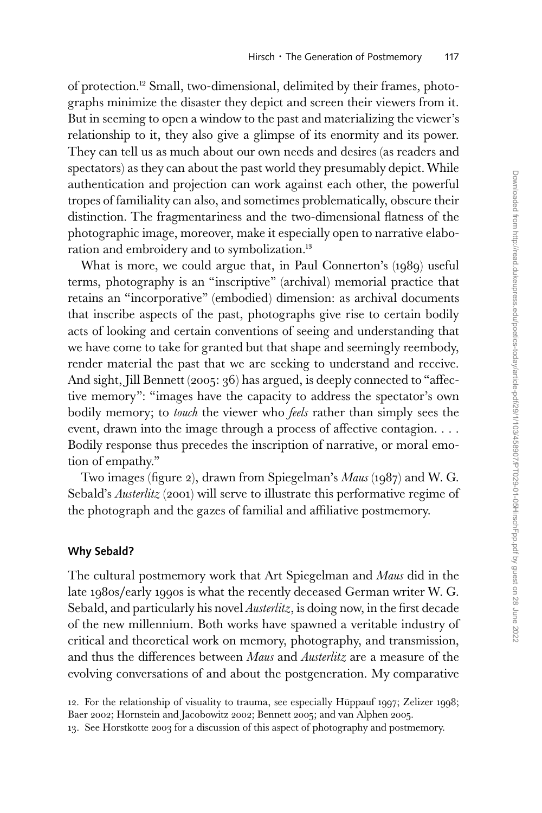of protection.12 Small, two-dimensional, delimited by their frames, photographs minimize the disaster they depict and screen their viewers from it. But in seeming to open a window to the past and materializing the viewer's relationship to it, they also give a glimpse of its enormity and its power. They can tell us as much about our own needs and desires (as readers and spectators) as they can about the past world they presumably depict. While authentication and projection can work against each other, the powerful tropes of familiality can also, and sometimes problematically, obscure their distinction. The fragmentariness and the two-dimensional flatness of the photographic image, moreover, make it especially open to narrative elaboration and embroidery and to symbolization.<sup>13</sup>

What is more, we could argue that, in Paul Connerton's (1989) useful terms, photography is an "inscriptive" (archival) memorial practice that retains an "incorporative" (embodied) dimension: as archival documents that inscribe aspects of the past, photographs give rise to certain bodily acts of looking and certain conventions of seeing and understanding that we have come to take for granted but that shape and seemingly reembody, render material the past that we are seeking to understand and receive. And sight, Jill Bennett (2005: 36) has argued, is deeply connected to "affective memory": "images have the capacity to address the spectator's own bodily memory; to *touch* the viewer who *feels* rather than simply sees the event, drawn into the image through a process of affective contagion. . . . Bodily response thus precedes the inscription of narrative, or moral emotion of empathy."

Two images (figure 2), drawn from Spiegelman's *Maus* (1987) and W. G. Sebald's *Austerlitz* (2001) will serve to illustrate this performative regime of the photograph and the gazes of familial and affiliative postmemory.

# **Why Sebald?**

The cultural postmemory work that Art Spiegelman and *Maus* did in the late 1980s/early 1990s is what the recently deceased German writer W. G. Sebald, and particularly his novel *Austerlitz*, is doing now, in the first decade of the new millennium. Both works have spawned a veritable industry of critical and theoretical work on memory, photography, and transmission, and thus the differences between *Maus* and *Austerlitz* are a measure of the evolving conversations of and about the postgeneration. My comparative

<sup>12.</sup> For the relationship of visuality to trauma, see especially Hüppauf 1997; Zelizer 1998; Baer 2002; Hornstein and Jacobowitz 2002; Bennett 2005; and van Alphen 2005.

<sup>13.</sup> See Horstkotte 2003 for a discussion of this aspect of photography and postmemory.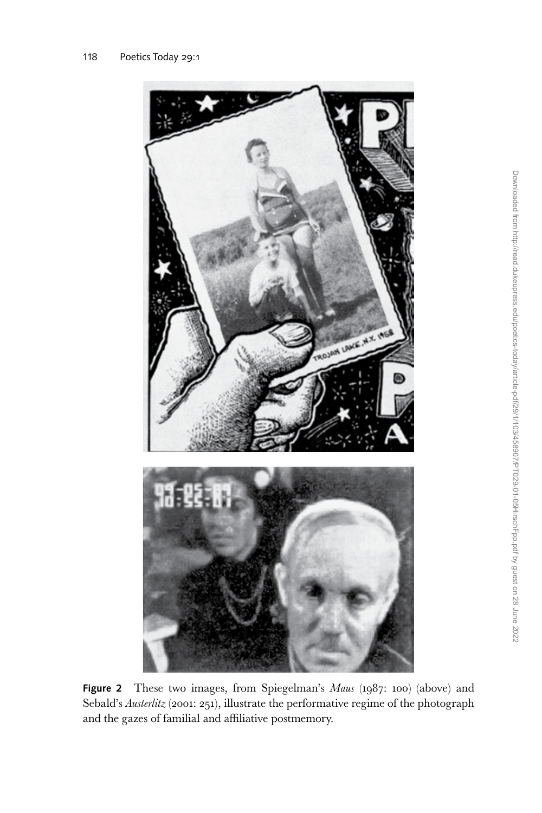

**Figure 2** These two images, from Spiegelman's *Maus* (1987: 100) (above) and Sebald's *Austerlitz* (2001: 251), illustrate the performative regime of the photograph and the gazes of familial and affiliative postmemory.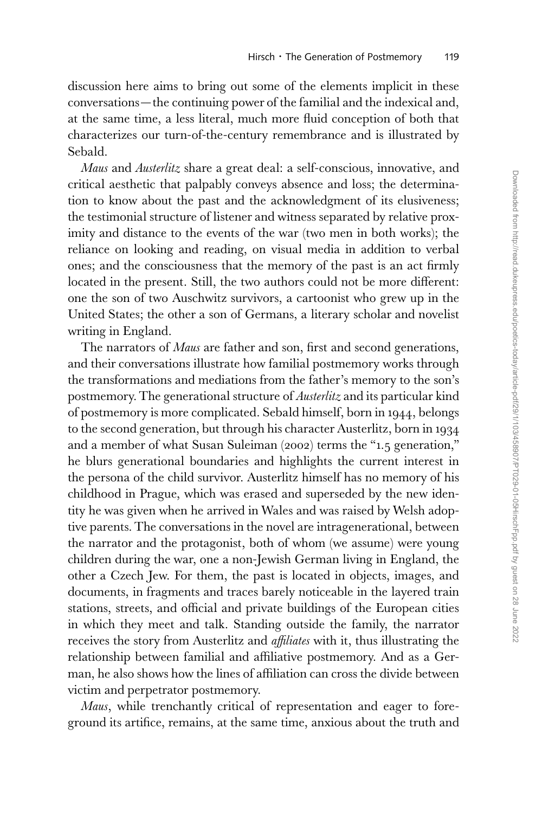discussion here aims to bring out some of the elements implicit in these conversations—the continuing power of the familial and the indexical and, at the same time, a less literal, much more fluid conception of both that characterizes our turn-of-the-century remembrance and is illustrated by Sebald.

*Maus* and *Austerlitz* share a great deal: a self-conscious, innovative, and critical aesthetic that palpably conveys absence and loss; the determination to know about the past and the acknowledgment of its elusiveness; the testimonial structure of listener and witness separated by relative proximity and distance to the events of the war (two men in both works); the reliance on looking and reading, on visual media in addition to verbal ones; and the consciousness that the memory of the past is an act firmly located in the present. Still, the two authors could not be more different: one the son of two Auschwitz survivors, a cartoonist who grew up in the United States; the other a son of Germans, a literary scholar and novelist writing in England.

The narrators of *Maus* are father and son, first and second generations, and their conversations illustrate how familial postmemory works through the transformations and mediations from the father's memory to the son's postmemory. The generational structure of *Austerlitz* and its particular kind of postmemory is more complicated. Sebald himself, born in 1944, belongs to the second generation, but through his character Austerlitz, born in 1934 and a member of what Susan Suleiman (2002) terms the "1.5 generation," he blurs generational boundaries and highlights the current interest in the persona of the child survivor. Austerlitz himself has no memory of his childhood in Prague, which was erased and superseded by the new identity he was given when he arrived in Wales and was raised by Welsh adoptive parents. The conversations in the novel are intragenerational, between the narrator and the protagonist, both of whom (we assume) were young children during the war, one a non-Jewish German living in England, the other a Czech Jew. For them, the past is located in objects, images, and documents, in fragments and traces barely noticeable in the layered train stations, streets, and official and private buildings of the European cities in which they meet and talk. Standing outside the family, the narrator receives the story from Austerlitz and *affiliates* with it, thus illustrating the relationship between familial and affiliative postmemory. And as a German, he also shows how the lines of affiliation can cross the divide between victim and perpetrator postmemory.

*Maus*, while trenchantly critical of representation and eager to foreground its artifice, remains, at the same time, anxious about the truth and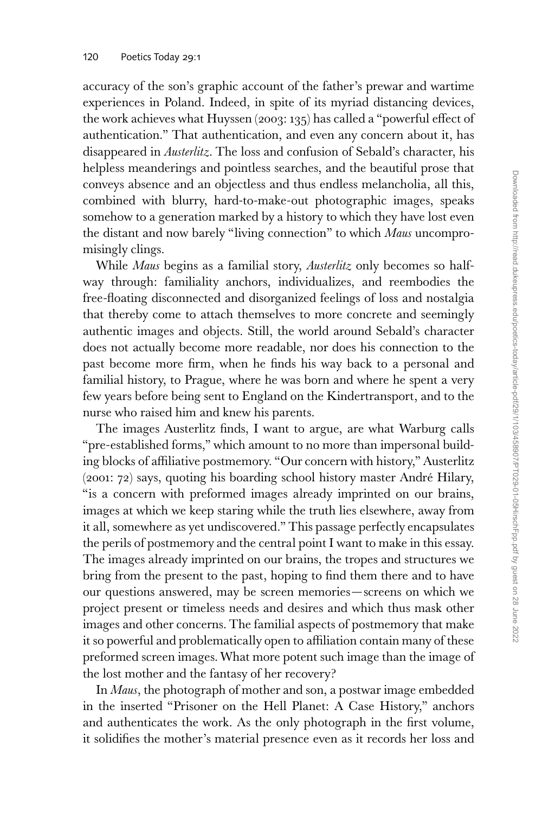accuracy of the son's graphic account of the father's prewar and wartime experiences in Poland. Indeed, in spite of its myriad distancing devices, the work achieves what Huyssen (2003: 135) has called a "powerful effect of authentication." That authentication, and even any concern about it, has disappeared in *Austerlitz*. The loss and confusion of Sebald's character, his helpless meanderings and pointless searches, and the beautiful prose that conveys absence and an objectless and thus endless melancholia, all this, combined with blurry, hard-to-make-out photographic images, speaks somehow to a generation marked by a history to which they have lost even the distant and now barely "living connection" to which *Maus* uncompromisingly clings.

While *Maus* begins as a familial story, *Austerlitz* only becomes so halfway through: familiality anchors, individualizes, and reembodies the free-floating disconnected and disorganized feelings of loss and nostalgia that thereby come to attach themselves to more concrete and seemingly authentic images and objects. Still, the world around Sebald's character does not actually become more readable, nor does his connection to the past become more firm, when he finds his way back to a personal and familial history, to Prague, where he was born and where he spent a very few years before being sent to England on the Kindertransport, and to the nurse who raised him and knew his parents.

The images Austerlitz finds, I want to argue, are what Warburg calls "pre-established forms," which amount to no more than impersonal building blocks of affiliative postmemory. "Our concern with history," Austerlitz (2001: 72) says, quoting his boarding school history master André Hilary, "is a concern with preformed images already imprinted on our brains, images at which we keep staring while the truth lies elsewhere, away from it all, somewhere as yet undiscovered." This passage perfectly encapsulates the perils of postmemory and the central point I want to make in this essay. The images already imprinted on our brains, the tropes and structures we bring from the present to the past, hoping to find them there and to have our questions answered, may be screen memories—screens on which we project present or timeless needs and desires and which thus mask other images and other concerns. The familial aspects of postmemory that make it so powerful and problematically open to affiliation contain many of these preformed screen images. What more potent such image than the image of the lost mother and the fantasy of her recovery?

In *Maus*, the photograph of mother and son, a postwar image embedded in the inserted "Prisoner on the Hell Planet: A Case History," anchors and authenticates the work. As the only photograph in the first volume, it solidifies the mother's material presence even as it records her loss and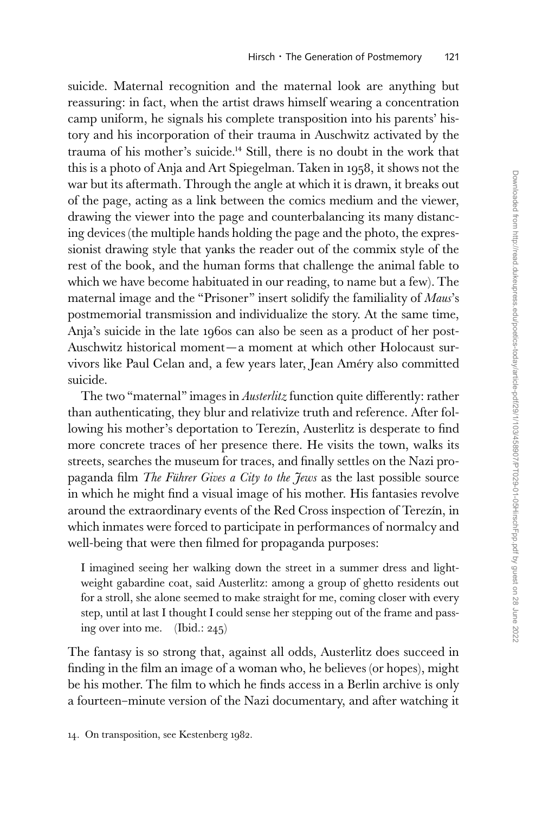suicide. Maternal recognition and the maternal look are anything but reassuring: in fact, when the artist draws himself wearing a concentration camp uniform, he signals his complete transposition into his parents' history and his incorporation of their trauma in Auschwitz activated by the trauma of his mother's suicide.14 Still, there is no doubt in the work that this is a photo of Anja and Art Spiegelman. Taken in 1958, it shows not the war but its aftermath. Through the angle at which it is drawn, it breaks out of the page, acting as a link between the comics medium and the viewer, drawing the viewer into the page and counterbalancing its many distancing devices (the multiple hands holding the page and the photo, the expressionist drawing style that yanks the reader out of the commix style of the rest of the book, and the human forms that challenge the animal fable to which we have become habituated in our reading, to name but a few). The maternal image and the "Prisoner" insert solidify the familiality of *Maus*'s postmemorial transmission and individualize the story. At the same time, Anja's suicide in the late 1960s can also be seen as a product of her post-Auschwitz historical moment—a moment at which other Holocaust survivors like Paul Celan and, a few years later, Jean Améry also committed suicide.

The two "maternal" images in *Austerlitz* function quite differently: rather than authenticating, they blur and relativize truth and reference. After following his mother's deportation to Terezín, Austerlitz is desperate to find more concrete traces of her presence there. He visits the town, walks its streets, searches the museum for traces, and finally settles on the Nazi propaganda film *The Führer Gives a City to the Jews* as the last possible source in which he might find a visual image of his mother. His fantasies revolve around the extraordinary events of the Red Cross inspection of Terezín, in which inmates were forced to participate in performances of normalcy and well-being that were then filmed for propaganda purposes:

I imagined seeing her walking down the street in a summer dress and lightweight gabardine coat, said Austerlitz: among a group of ghetto residents out for a stroll, she alone seemed to make straight for me, coming closer with every step, until at last I thought I could sense her stepping out of the frame and passing over into me. (Ibid.: 245)

The fantasy is so strong that, against all odds, Austerlitz does succeed in finding in the film an image of a woman who, he believes (or hopes), might be his mother. The film to which he finds access in a Berlin archive is only a fourteen–minute version of the Nazi documentary, and after watching it

<sup>14.</sup> On transposition, see Kestenberg 1982.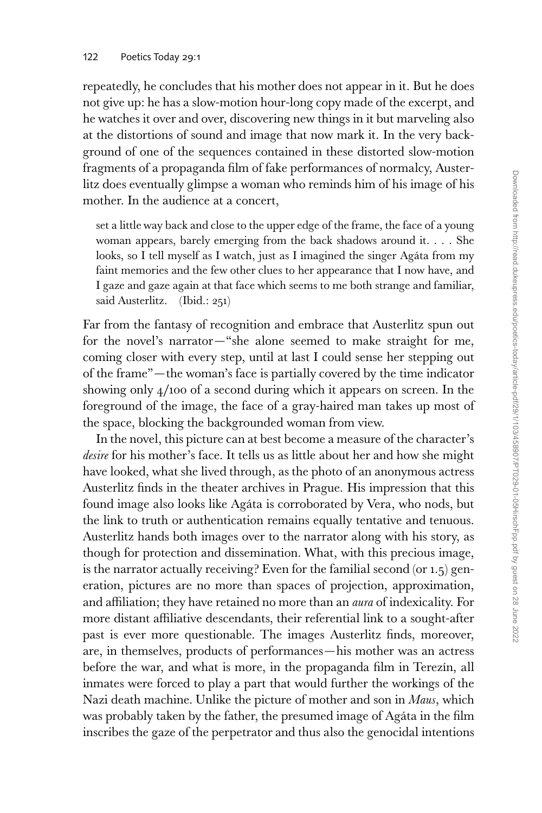repeatedly, he concludes that his mother does not appear in it. But he does not give up: he has a slow-motion hour-long copy made of the excerpt, and he watches it over and over, discovering new things in it but marveling also at the distortions of sound and image that now mark it. In the very background of one of the sequences contained in these distorted slow-motion fragments of a propaganda film of fake performances of normalcy, Austerlitz does eventually glimpse a woman who reminds him of his image of his mother. In the audience at a concert,

set a little way back and close to the upper edge of the frame, the face of a young woman appears, barely emerging from the back shadows around it. . . . She looks, so I tell myself as I watch, just as I imagined the singer Agáta from my faint memories and the few other clues to her appearance that I now have, and I gaze and gaze again at that face which seems to me both strange and familiar, said Austerlitz. (Ibid.: 251)

Far from the fantasy of recognition and embrace that Austerlitz spun out for the novel's narrator—"she alone seemed to make straight for me, coming closer with every step, until at last I could sense her stepping out of the frame"—the woman's face is partially covered by the time indicator showing only 4/100 of a second during which it appears on screen. In the foreground of the image, the face of a gray-haired man takes up most of the space, blocking the backgrounded woman from view.

In the novel, this picture can at best become a measure of the character's *desire* for his mother's face. It tells us as little about her and how she might have looked, what she lived through, as the photo of an anonymous actress Austerlitz finds in the theater archives in Prague. His impression that this found image also looks like Agáta is corroborated by Vera, who nods, but the link to truth or authentication remains equally tentative and tenuous. Austerlitz hands both images over to the narrator along with his story, as though for protection and dissemination. What, with this precious image, is the narrator actually receiving? Even for the familial second (or 1.5) generation, pictures are no more than spaces of projection, approximation, and affiliation; they have retained no more than an *aura* of indexicality. For more distant affiliative descendants, their referential link to a sought-after past is ever more questionable. The images Austerlitz finds, moreover, are, in themselves, products of performances—his mother was an actress before the war, and what is more, in the propaganda film in Terezín, all inmates were forced to play a part that would further the workings of the Nazi death machine. Unlike the picture of mother and son in *Maus*, which was probably taken by the father, the presumed image of Agáta in the film inscribes the gaze of the perpetrator and thus also the genocidal intentions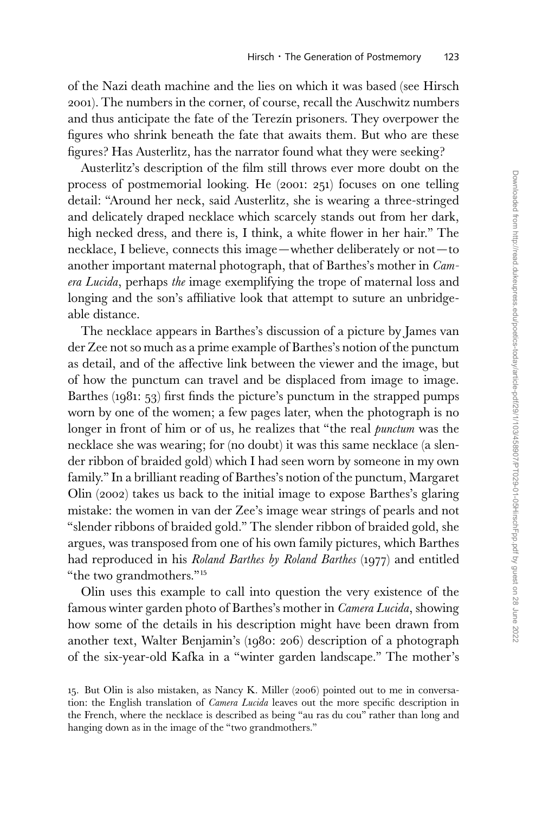of the Nazi death machine and the lies on which it was based (see Hirsch 2001). The numbers in the corner, of course, recall the Auschwitz numbers and thus anticipate the fate of the Terezín prisoners. They overpower the figures who shrink beneath the fate that awaits them. But who are these figures? Has Austerlitz, has the narrator found what they were seeking?

Austerlitz's description of the film still throws ever more doubt on the process of postmemorial looking. He (2001: 251) focuses on one telling detail: "Around her neck, said Austerlitz, she is wearing a three-stringed and delicately draped necklace which scarcely stands out from her dark, high necked dress, and there is, I think, a white flower in her hair." The necklace, I believe, connects this image—whether deliberately or not—to another important maternal photograph, that of Barthes's mother in *Camera Lucida*, perhaps *the* image exemplifying the trope of maternal loss and longing and the son's affiliative look that attempt to suture an unbridgeable distance.

The necklace appears in Barthes's discussion of a picture by James van der Zee not so much as a prime example of Barthes's notion of the punctum as detail, and of the affective link between the viewer and the image, but of how the punctum can travel and be displaced from image to image. Barthes (1981: 53) first finds the picture's punctum in the strapped pumps worn by one of the women; a few pages later, when the photograph is no longer in front of him or of us, he realizes that "the real *punctum* was the necklace she was wearing; for (no doubt) it was this same necklace (a slender ribbon of braided gold) which I had seen worn by someone in my own family." In a brilliant reading of Barthes's notion of the punctum, Margaret Olin (2002) takes us back to the initial image to expose Barthes's glaring mistake: the women in van der Zee's image wear strings of pearls and not "slender ribbons of braided gold." The slender ribbon of braided gold, she argues, was transposed from one of his own family pictures, which Barthes had reproduced in his *Roland Barthes by Roland Barthes* (1977) and entitled "the two grandmothers."15

Olin uses this example to call into question the very existence of the famous winter garden photo of Barthes's mother in *Camera Lucida*, showing how some of the details in his description might have been drawn from another text, Walter Benjamin's (1980: 206) description of a photograph of the six-year-old Kafka in a "winter garden landscape." The mother's

<sup>15.</sup> But Olin is also mistaken, as Nancy K. Miller (2006) pointed out to me in conversation: the English translation of *Camera Lucida* leaves out the more specific description in the French, where the necklace is described as being "au ras du cou" rather than long and hanging down as in the image of the "two grandmothers."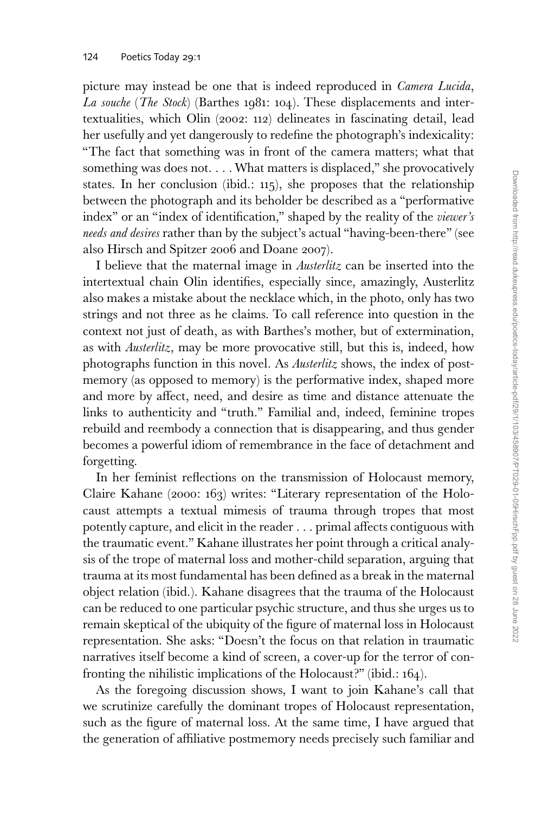picture may instead be one that is indeed reproduced in *Camera Lucida*, *La souche* (*The Stock*) (Barthes 1981: 104). These displacements and intertextualities, which Olin (2002: 112) delineates in fascinating detail, lead her usefully and yet dangerously to redefine the photograph's indexicality: "The fact that something was in front of the camera matters; what that something was does not. . . . What matters is displaced," she provocatively states. In her conclusion (ibid.: 115), she proposes that the relationship between the photograph and its beholder be described as a "performative index" or an "index of identification," shaped by the reality of the *viewer's needs and desires* rather than by the subject's actual "having-been-there" (see also Hirsch and Spitzer 2006 and Doane 2007).

I believe that the maternal image in *Austerlitz* can be inserted into the intertextual chain Olin identifies, especially since, amazingly, Austerlitz also makes a mistake about the necklace which, in the photo, only has two strings and not three as he claims. To call reference into question in the context not just of death, as with Barthes's mother, but of extermination, as with *Austerlitz*, may be more provocative still, but this is, indeed, how photographs function in this novel. As *Austerlitz* shows, the index of postmemory (as opposed to memory) is the performative index, shaped more and more by affect, need, and desire as time and distance attenuate the links to authenticity and "truth." Familial and, indeed, feminine tropes rebuild and reembody a connection that is disappearing, and thus gender becomes a powerful idiom of remembrance in the face of detachment and forgetting.

In her feminist reflections on the transmission of Holocaust memory, Claire Kahane (2000: 163) writes: "Literary representation of the Holocaust attempts a textual mimesis of trauma through tropes that most potently capture, and elicit in the reader . . . primal affects contiguous with the traumatic event." Kahane illustrates her point through a critical analysis of the trope of maternal loss and mother-child separation, arguing that trauma at its most fundamental has been defined as a break in the maternal object relation (ibid.). Kahane disagrees that the trauma of the Holocaust can be reduced to one particular psychic structure, and thus she urges us to remain skeptical of the ubiquity of the figure of maternal loss in Holocaust representation. She asks: "Doesn't the focus on that relation in traumatic narratives itself become a kind of screen, a cover-up for the terror of confronting the nihilistic implications of the Holocaust?" (ibid.: 164).

As the foregoing discussion shows, I want to join Kahane's call that we scrutinize carefully the dominant tropes of Holocaust representation, such as the figure of maternal loss. At the same time, I have argued that the generation of affiliative postmemory needs precisely such familiar and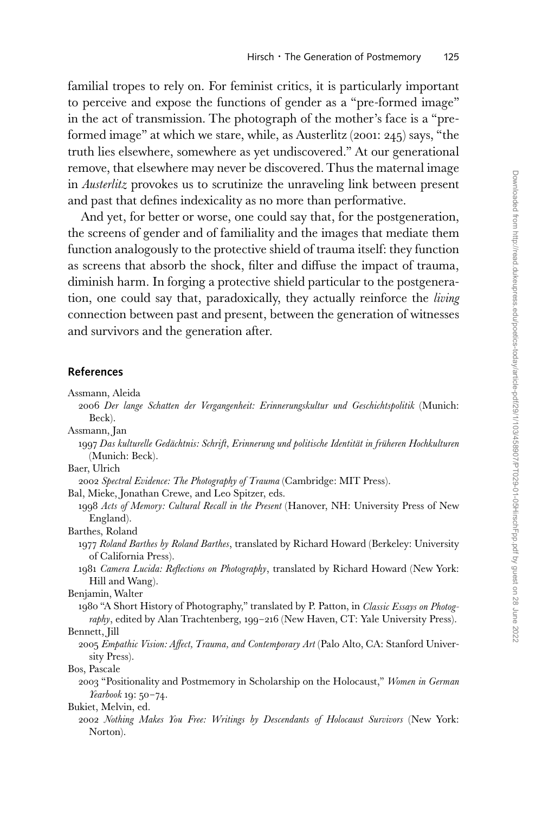familial tropes to rely on. For feminist critics, it is particularly important to perceive and expose the functions of gender as a "pre-formed image" in the act of transmission. The photograph of the mother's face is a "preformed image" at which we stare, while, as Austerlitz (2001: 245) says, "the truth lies elsewhere, somewhere as yet undiscovered." At our generational remove, that elsewhere may never be discovered. Thus the maternal image in *Austerlitz* provokes us to scrutinize the unraveling link between present and past that defines indexicality as no more than performative.

And yet, for better or worse, one could say that, for the postgeneration, the screens of gender and of familiality and the images that mediate them function analogously to the protective shield of trauma itself: they function as screens that absorb the shock, filter and diffuse the impact of trauma, diminish harm. In forging a protective shield particular to the postgeneration, one could say that, paradoxically, they actually reinforce the *living* connection between past and present, between the generation of witnesses and survivors and the generation after.

#### **References**

Assmann, Aleida

2006 *Der lange Schatten der Vergangenheit: Erinnerungskultur und Geschichtspolitik* (Munich: Beck).

Assmann, Jan

1997 *Das kulturelle Gedächtnis: Schrift, Erinnerung und politische Identität in früheren Hochkulturen* (Munich: Beck).

Baer, Ulrich

2002 *Spectral Evidence: The Photography of Trauma* (Cambridge: MIT Press).

Bal, Mieke, Jonathan Crewe, and Leo Spitzer, eds.

1998 *Acts of Memory: Cultural Recall in the Present* (Hanover, NH: University Press of New England).

Barthes, Roland

1977 *Roland Barthes by Roland Barthes*, translated by Richard Howard (Berkeley: University of California Press).

1981 *Camera Lucida: Reflections on Photography*, translated by Richard Howard (New York: Hill and Wang).

Benjamin, Walter

1980 "A Short History of Photography," translated by P. Patton, in *Classic Essays on Photography*, edited by Alan Trachtenberg, 199–216 (New Haven, CT: Yale University Press). Bennett, Jill

2005 *Empathic Vision: Affect, Trauma, and Contemporary Art* (Palo Alto, CA: Stanford University Press).

Bos, Pascale

2003 "Positionality and Postmemory in Scholarship on the Holocaust," *Women in German Yearbook* 19: 50–74.

Bukiet, Melvin, ed.

2002 *Nothing Makes You Free: Writings by Descendants of Holocaust Survivors* (New York: Norton).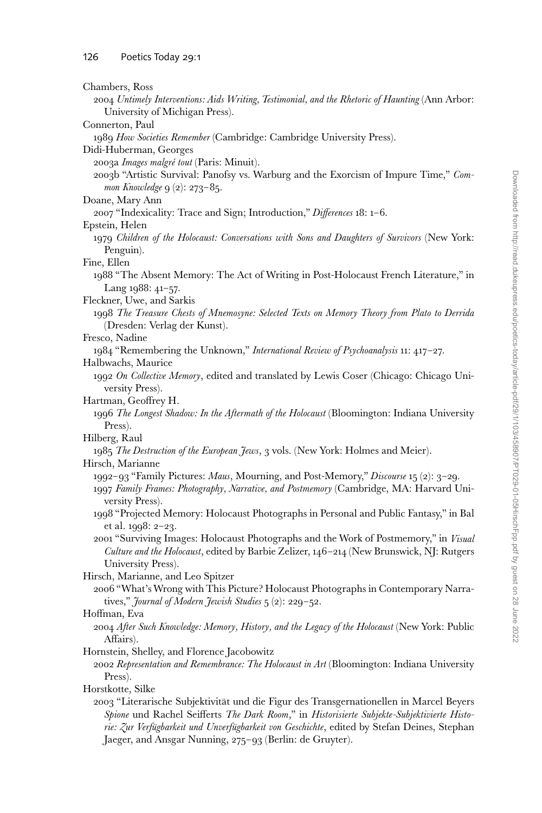| Chambers, Ross                                                                                     |
|----------------------------------------------------------------------------------------------------|
| 2004 Untimely Interventions: Aids Writing, Testimonial, and the Rhetoric of Haunting (Ann Arbor:   |
| University of Michigan Press).                                                                     |
| Connerton, Paul                                                                                    |
| 1989 How Societies Remember (Cambridge: Cambridge University Press).                               |
| Didi-Huberman, Georges                                                                             |
| 2003a Images malgré tout (Paris: Minuit).                                                          |
| 2003b "Artistic Survival: Panofsy vs. Warburg and the Exorcism of Impure Time," Com-               |
| mon Knowledge $9(2)$ : 273-85.                                                                     |
| Doane, Mary Ann                                                                                    |
| 2007 "Indexicality: Trace and Sign; Introduction," Differences 18: 1-6.                            |
| Epstein, Helen                                                                                     |
| 1979 Children of the Holocaust: Conversations with Sons and Daughters of Survivors (New York:      |
| Penguin).                                                                                          |
| Fine, Ellen                                                                                        |
| 1988 "The Absent Memory: The Act of Writing in Post-Holocaust French Literature," in               |
| Lang $1988:41-57$ .                                                                                |
| Fleckner, Uwe, and Sarkis                                                                          |
| 1998 The Treasure Chests of Mnemosyne: Selected Texts on Memory Theory from Plato to Derrida       |
| (Dresden: Verlag der Kunst).                                                                       |
| Fresco, Nadine                                                                                     |
| 1984 "Remembering the Unknown," International Review of Psychoanalysis 11: 417-27.                 |
| Halbwachs, Maurice                                                                                 |
| 1992 On Collective Memory, edited and translated by Lewis Coser (Chicago: Chicago Uni-             |
| versity Press).                                                                                    |
| Hartman, Geoffrey H.                                                                               |
| 1996 The Longest Shadow: In the Aftermath of the Holocaust (Bloomington: Indiana University        |
| Press).                                                                                            |
| Hilberg, Raul                                                                                      |
| 1985 The Destruction of the European Jews, 3 vols. (New York: Holmes and Meier).                   |
| Hirsch, Marianne                                                                                   |
| 1992–93 "Family Pictures: <i>Maus</i> , Mourning, and Post-Memory," <i>Discourse</i> 15 (2): 3–29. |
| 1997 Family Frames: Photography, Narrative, and Postmemory (Cambridge, MA: Harvard Uni-            |
| versity Press).                                                                                    |
| 1998 "Projected Memory: Holocaust Photographs in Personal and Public Fantasy," in Bal              |
| et al. $1998: 2-23$ .                                                                              |
| 2001 "Surviving Images: Holocaust Photographs and the Work of Postmemory," in Visual               |
| Culture and the Holocaust, edited by Barbie Zelizer, 146-214 (New Brunswick, NJ: Rutgers           |
| University Press).                                                                                 |
| Hirsch, Marianne, and Leo Spitzer                                                                  |
| 2006 "What's Wrong with This Picture? Holocaust Photographs in Contemporary Narra-                 |
| tives," Journal of Modern Jewish Studies $5(2)$ : 229–52.                                          |
| Hoffman, Eva                                                                                       |
| 2004 After Such Knowledge: Memory, History, and the Legacy of the Holocaust (New York: Public      |
| Affairs).                                                                                          |
| Hornstein, Shelley, and Florence Jacobowitz                                                        |
| 2002 Representation and Remembrance: The Holocaust in Art (Bloomington: Indiana University         |
| Press).                                                                                            |
| Horstkotte, Silke                                                                                  |
| 2003 "Literarische Subjektivität und die Figur des Transgernationellen in Marcel Beyers            |
| Spione und Rachel Seifferts The Dark Room," in Historisierte Subjekte-Subjektivierte Histo-        |
| rie: Zur Verfügbarkeit und Unverfügbarkeit von Geschichte, edited by Stefan Deines, Stephan        |

Jaeger, and Ansgar Nunning, 275–93 (Berlin: de Gruyter).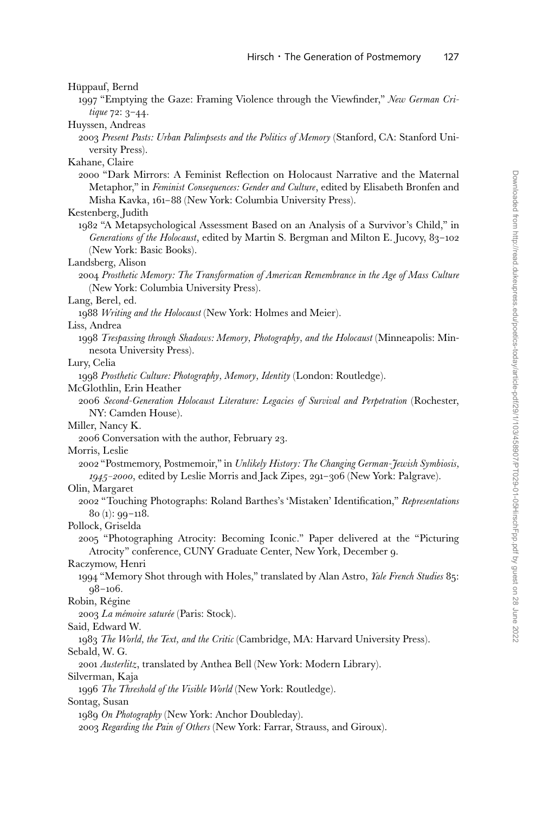| Hüppauf, Bernd                                                                                                                                                                                                                                                    |
|-------------------------------------------------------------------------------------------------------------------------------------------------------------------------------------------------------------------------------------------------------------------|
| 1997 "Emptying the Gaze: Framing Violence through the Viewfinder," New German Cri-                                                                                                                                                                                |
| tique 72: 3-44.                                                                                                                                                                                                                                                   |
| Huyssen, Andreas                                                                                                                                                                                                                                                  |
| 2003 Present Pasts: Urban Palimpsests and the Politics of Memory (Stanford, CA: Stanford Uni-<br>versity Press).                                                                                                                                                  |
| Kahane, Claire                                                                                                                                                                                                                                                    |
| 2000 "Dark Mirrors: A Feminist Reflection on Holocaust Narrative and the Maternal<br>Metaphor," in Feminist Consequences: Gender and Culture, edited by Elisabeth Bronfen and<br>Misha Kavka, 161-88 (New York: Columbia University Press).<br>Kestenberg, Judith |
| 1982 "A Metapsychological Assessment Based on an Analysis of a Survivor's Child," in<br>Generations of the Holocaust, edited by Martin S. Bergman and Milton E. Jucovy, 83-102                                                                                    |
| (New York: Basic Books).                                                                                                                                                                                                                                          |
| Landsberg, Alison                                                                                                                                                                                                                                                 |
| 2004 Prosthetic Memory: The Transformation of American Remembrance in the Age of Mass Culture<br>(New York: Columbia University Press).                                                                                                                           |
| Lang, Berel, ed.                                                                                                                                                                                                                                                  |
| 1988 Writing and the Holocaust (New York: Holmes and Meier).                                                                                                                                                                                                      |
| Liss, Andrea                                                                                                                                                                                                                                                      |
| 1998 Trespassing through Shadows: Memory, Photography, and the Holocaust (Minneapolis: Min-                                                                                                                                                                       |
| nesota University Press).                                                                                                                                                                                                                                         |
| Lury, Celia                                                                                                                                                                                                                                                       |
| 1998 Prosthetic Culture: Photography, Memory, Identity (London: Routledge).                                                                                                                                                                                       |
| McGlothlin, Erin Heather                                                                                                                                                                                                                                          |
| 2006 Second-Generation Holocaust Literature: Legacies of Survival and Perpetration (Rochester,<br>NY: Camden House).                                                                                                                                              |
| Miller, Nancy K.                                                                                                                                                                                                                                                  |
| 2006 Conversation with the author, February 23.                                                                                                                                                                                                                   |
| Morris, Leslie                                                                                                                                                                                                                                                    |
| 2002 "Postmemory, Postmemoir," in Unlikely History: The Changing German-Jewish Symbiosis,<br>1945-2000, edited by Leslie Morris and Jack Zipes, 291-306 (New York: Palgrave).                                                                                     |
| Olin, Margaret                                                                                                                                                                                                                                                    |
| 2002 "Touching Photographs: Roland Barthes's 'Mistaken' Identification," Representations<br>$80 (1)$ : 99-118.                                                                                                                                                    |
| Pollock, Griselda                                                                                                                                                                                                                                                 |
| 2005 "Photographing Atrocity: Becoming Iconic." Paper delivered at the "Picturing<br>Atrocity" conference, CUNY Graduate Center, New York, December 9.                                                                                                            |
| Raczymow, Henri                                                                                                                                                                                                                                                   |
| 1994 "Memory Shot through with Holes," translated by Alan Astro, <i>Tale French Studies</i> 85:<br>$98 - 106.$                                                                                                                                                    |
| Robin, Régine                                                                                                                                                                                                                                                     |
| 2003 La mémoire saturée (Paris: Stock).                                                                                                                                                                                                                           |
| Said, Edward W.                                                                                                                                                                                                                                                   |
| 1983 The World, the Text, and the Critic (Cambridge, MA: Harvard University Press).<br>Sebald, W. G.                                                                                                                                                              |
| 2001 Austerlitz, translated by Anthea Bell (New York: Modern Library).                                                                                                                                                                                            |
| Silverman, Kaja                                                                                                                                                                                                                                                   |
| 1996 The Threshold of the Visible World (New York: Routledge).                                                                                                                                                                                                    |
| Sontag, Susan                                                                                                                                                                                                                                                     |
| 1989 On Photography (New York: Anchor Doubleday).                                                                                                                                                                                                                 |
| 2003 Regarding the Pain of Others (New York: Farrar, Strauss, and Giroux).                                                                                                                                                                                        |